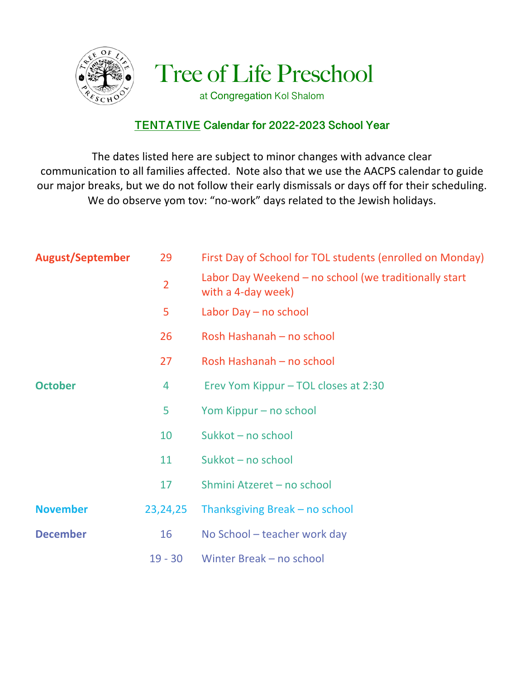

Tree of Life Preschool

at Congregation Kol Shalom

## **TENTATIVE Calendar for 2022-2023 School Year**

The dates listed here are subject to minor changes with advance clear communication to all families affected. Note also that we use the AACPS calendar to guide our major breaks, but we do not follow their early dismissals or days off for their scheduling. We do observe yom tov: "no-work" days related to the Jewish holidays.

| <b>August/September</b> | 29             | First Day of School for TOL students (enrolled on Monday)                   |
|-------------------------|----------------|-----------------------------------------------------------------------------|
|                         | $\overline{2}$ | Labor Day Weekend – no school (we traditionally start<br>with a 4-day week) |
|                         | 5              | Labor Day - no school                                                       |
|                         | 26             | Rosh Hashanah - no school                                                   |
|                         | 27             | Rosh Hashanah - no school                                                   |
| <b>October</b>          | 4              | Erev Yom Kippur – TOL closes at 2:30                                        |
|                         | 5              | Yom Kippur – no school                                                      |
|                         | 10             | Sukkot - no school                                                          |
|                         | 11             | Sukkot - no school                                                          |
|                         | 17             | Shmini Atzeret - no school                                                  |
| <b>November</b>         | 23, 24, 25     | Thanksgiving Break – no school                                              |
| <b>December</b>         | 16             | No School - teacher work day                                                |
|                         | $19 - 30$      | Winter Break - no school                                                    |